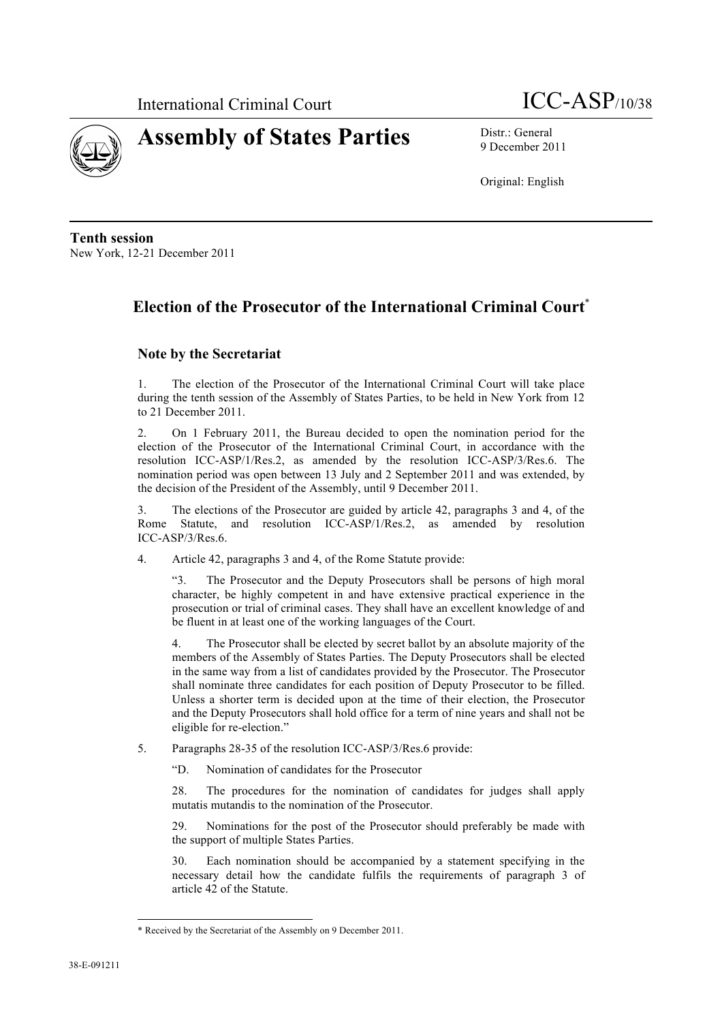



9 December 2011

Original: English

**Tenth session** New York, 12-21 December 2011

# **Election of the Prosecutor of the International Criminal Court**\*

## **Note by the Secretariat**

1. The election of the Prosecutor of the International Criminal Court will take place during the tenth session of the Assembly of States Parties, to be held in New York from 12 to 21 December 2011.

2. On 1 February 2011, the Bureau decided to open the nomination period for the election of the Prosecutor of the International Criminal Court, in accordance with the resolution ICC-ASP/1/Res.2, as amended by the resolution ICC-ASP/3/Res.6. The nomination period was open between 13 July and 2 September 2011 and was extended, by the decision of the President of the Assembly, until 9 December 2011.

3. The elections of the Prosecutor are guided by article 42, paragraphs 3 and 4, of the Rome Statute, and resolution ICC-ASP/1/Res.2, as amended by resolution ICC-ASP/3/Res.6.

4. Article 42, paragraphs 3 and 4, of the Rome Statute provide:

"3. The Prosecutor and the Deputy Prosecutors shall be persons of high moral character, be highly competent in and have extensive practical experience in the prosecution or trial of criminal cases. They shall have an excellent knowledge of and be fluent in at least one of the working languages of the Court.

4. The Prosecutor shall be elected by secret ballot by an absolute majority of the members of the Assembly of States Parties. The Deputy Prosecutors shall be elected in the same way from a list of candidates provided by the Prosecutor. The Prosecutor shall nominate three candidates for each position of Deputy Prosecutor to be filled. Unless a shorter term is decided upon at the time of their election, the Prosecutor and the Deputy Prosecutors shall hold office for a term of nine years and shall not be eligible for re-election."

- 5. Paragraphs 28-35 of the resolution ICC-ASP/3/Res.6 provide:
	- "D. Nomination of candidates for the Prosecutor

28. The procedures for the nomination of candidates for judges shall apply mutatis mutandis to the nomination of the Prosecutor.

29. Nominations for the post of the Prosecutor should preferably be made with the support of multiple States Parties.

Each nomination should be accompanied by a statement specifying in the necessary detail how the candidate fulfils the requirements of paragraph 3 of article 42 of the Statute.

l

<sup>\*</sup> Received by the Secretariat of the Assembly on 9 December 2011.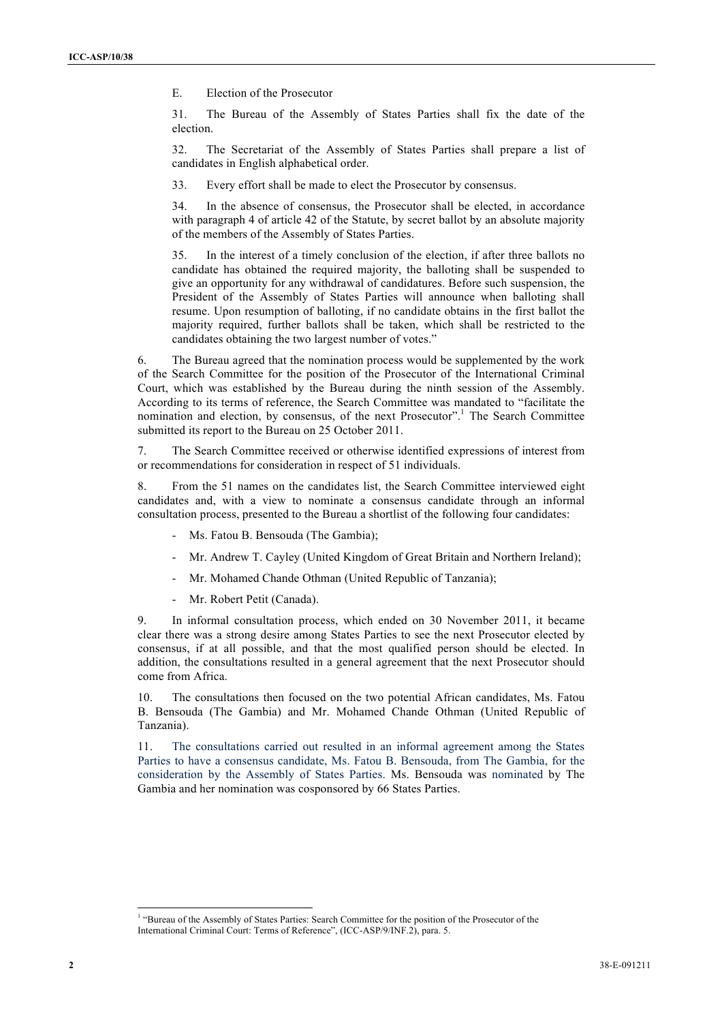E. Election of the Prosecutor

31. The Bureau of the Assembly of States Parties shall fix the date of the election.

32. The Secretariat of the Assembly of States Parties shall prepare a list of candidates in English alphabetical order.

33. Every effort shall be made to elect the Prosecutor by consensus.

34. In the absence of consensus, the Prosecutor shall be elected, in accordance with paragraph 4 of article 42 of the Statute, by secret ballot by an absolute majority of the members of the Assembly of States Parties.

35. In the interest of a timely conclusion of the election, if after three ballots no candidate has obtained the required majority, the balloting shall be suspended to give an opportunity for any withdrawal of candidatures. Before such suspension, the President of the Assembly of States Parties will announce when balloting shall resume. Upon resumption of balloting, if no candidate obtains in the first ballot the majority required, further ballots shall be taken, which shall be restricted to the candidates obtaining the two largest number of votes."

6. The Bureau agreed that the nomination process would be supplemented by the work of the Search Committee for the position of the Prosecutor of the International Criminal Court, which was established by the Bureau during the ninth session of the Assembly. According to its terms of reference, the Search Committee was mandated to "facilitate the nomination and election, by consensus, of the next Prosecutor".<sup>1</sup> The Search Committee submitted its report to the Bureau on 25 October 2011.

7. The Search Committee received or otherwise identified expressions of interest from or recommendations for consideration in respect of 51 individuals.

8. From the 51 names on the candidates list, the Search Committee interviewed eight candidates and, with a view to nominate a consensus candidate through an informal consultation process, presented to the Bureau a shortlist of the following four candidates:

- Ms. Fatou B. Bensouda (The Gambia);
- Mr. Andrew T. Cayley (United Kingdom of Great Britain and Northern Ireland);
- Mr. Mohamed Chande Othman (United Republic of Tanzania);
- Mr. Robert Petit (Canada).

9. In informal consultation process, which ended on 30 November 2011, it became clear there was a strong desire among States Parties to see the next Prosecutor elected by consensus, if at all possible, and that the most qualified person should be elected. In addition, the consultations resulted in a general agreement that the next Prosecutor should come from Africa.

10. The consultations then focused on the two potential African candidates, Ms. Fatou B. Bensouda (The Gambia) and Mr. Mohamed Chande Othman (United Republic of Tanzania).

11. The consultations carried out resulted in an informal agreement among the States Parties to have a consensus candidate, Ms. Fatou B. Bensouda, from The Gambia, for the consideration by the Assembly of States Parties. Ms. Bensouda was nominated by The Gambia and her nomination was cosponsored by 66 States Parties.

<sup>&</sup>lt;sup>1</sup> "Bureau of the Assembly of States Parties: Search Committee for the position of the Prosecutor of the International Criminal Court: Terms of Reference", (ICC-ASP/9/INF.2), para. 5.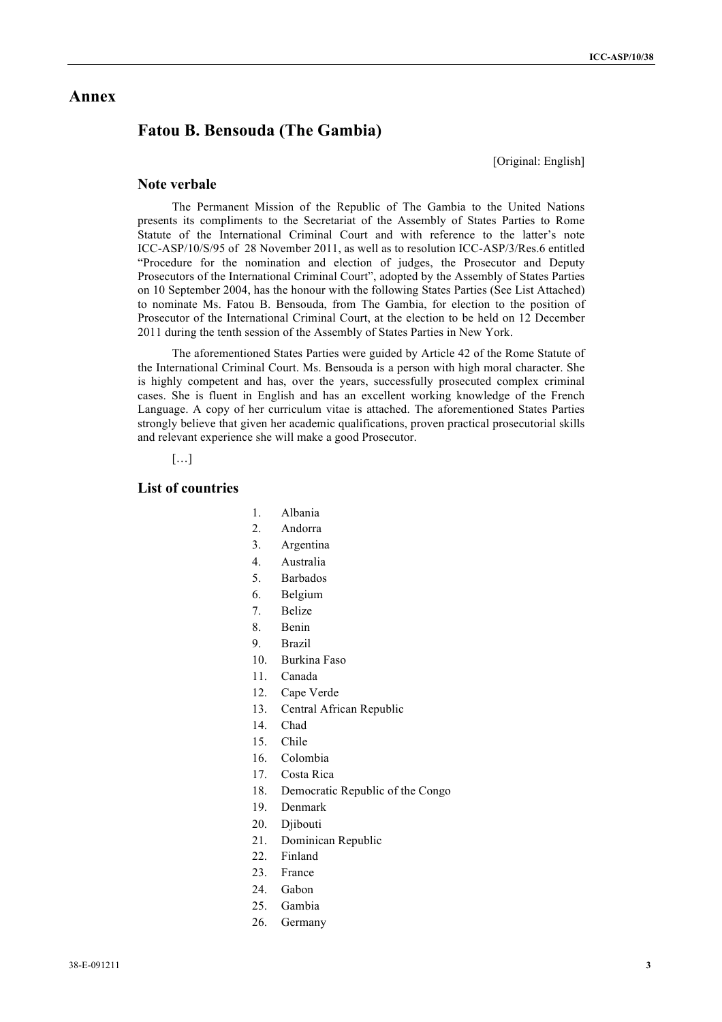# **Annex**

# **Fatou B. Bensouda (The Gambia)**

[Original: English]

#### **Note verbale**

The Permanent Mission of the Republic of The Gambia to the United Nations presents its compliments to the Secretariat of the Assembly of States Parties to Rome Statute of the International Criminal Court and with reference to the latter's note ICC-ASP/10/S/95 of 28 November 2011, as well as to resolution ICC-ASP/3/Res.6 entitled "Procedure for the nomination and election of judges, the Prosecutor and Deputy Prosecutors of the International Criminal Court", adopted by the Assembly of States Parties on 10 September 2004, has the honour with the following States Parties (See List Attached) to nominate Ms. Fatou B. Bensouda, from The Gambia, for election to the position of Prosecutor of the International Criminal Court, at the election to be held on 12 December 2011 during the tenth session of the Assembly of States Parties in New York.

The aforementioned States Parties were guided by Article 42 of the Rome Statute of the International Criminal Court. Ms. Bensouda is a person with high moral character. She is highly competent and has, over the years, successfully prosecuted complex criminal cases. She is fluent in English and has an excellent working knowledge of the French Language. A copy of her curriculum vitae is attached. The aforementioned States Parties strongly believe that given her academic qualifications, proven practical prosecutorial skills and relevant experience she will make a good Prosecutor.

[…]

# **List of countries**

- 1. Albania
- 2. Andorra
- 3. Argentina
- 4. Australia
- 5. Barbados
- 6. Belgium
- 7. Belize
- 8. Benin
- 9. Brazil
- 10. Burkina Faso
- 11. Canada
- 12. Cape Verde
- 13. Central African Republic
- 14. Chad
- 15. Chile
- 16. Colombia
- 17. Costa Rica
- 18. Democratic Republic of the Congo
- 19. Denmark
- 20. Djibouti
- 21. Dominican Republic
- 22. Finland
- 23. France
- 24. Gabon
- 25. Gambia
- 26. Germany